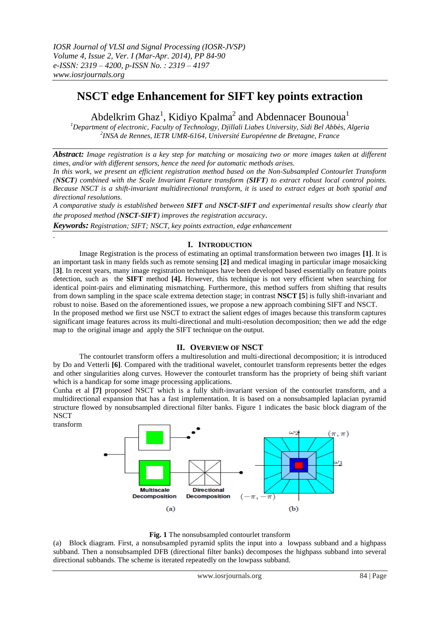# **NSCT edge Enhancement for SIFT key points extraction**

Abdelkrim Ghaz<sup>1</sup>, Kidiyo Kpalma<sup>2</sup> and Abdennacer Bounoua<sup>1</sup>

*<sup>1</sup>Department of electronic, Faculty of Technology, Djillali Liabes University, Sidi Bel Abbès, Algeria 2 INSA de Rennes, IETR UMR-6164, Université Européenne de Bretagne, France*

*Abstract: Image registration is a key step for matching or mosaicing two or more images taken at different times, and/or with different sensors, hence the need for automatic methods arises.*

*In this work, we present an efficient registration method based on the Non-Subsampled Contourlet Transform (NSCT) combined with the Scale Invariant Feature transform (SIFT) to extract robust local control points. Because NSCT is a shift-invariant multidirectional transform, it is used to extract edges at both spatial and directional resolutions.*

*A comparative study is established between SIFT and NSCT-SIFT and experimental results show clearly that the proposed method (NSCT-SIFT) improves the registration accuracy*.

*Keywords: Registration; SIFT; NSCT, key points extraction, edge enhancement*

# **I. INTRODUCTION**

Image Registration is the process of estimating an optimal transformation between two images **[1]**. It is an important task in many fields such as remote sensing **[2]** and medical imaging in particular image mosaicking [**3]**. In recent years, many image registration techniques have been developed based essentially on feature points detection, such as the **SIFT** method **[4].** However, this technique is not very efficient when searching for identical point-pairs and eliminating mismatching. Furthermore, this method suffers from shifting that results from down sampling in the space scale extrema detection stage; in contrast **NSCT [5**] is fully shift-invariant and robust to noise. Based on the aforementioned issues, we propose a new approach combining SIFT and NSCT.

In the proposed method we first use NSCT to extract the salient edges of images because this transform captures significant image features across its multi-directional and multi-resolution decomposition; then we add the edge map to the original image and apply the SIFT technique on the output.

# **II. OVERVIEW OF NSCT**

The contourlet transform offers a multiresolution and multi-directional decomposition; it is introduced by Do and Vetterli **[6]**. Compared with the traditional wavelet, contourlet transform represents better the edges and other singularities along curves. However the contourlet transform has the propriety of being shift variant which is a handicap for some image processing applications.

Cunha et al **[7]** proposed NSCT which is a fully shift-invariant version of the contourlet transform, and a multidirectional expansion that has a fast implementation. It is based on a nonsubsampled laplacian pyramid structure flowed by nonsubsampled directional filter banks. Figure 1 indicates the basic block diagram of the **NSCT** 

transform

*.*



# **Fig. 1** The nonsubsampled contourlet transform

(a)Block diagram. First, a nonsubsampled pyramid splits the input into a lowpass subband and a highpass subband. Then a nonsubsampled DFB (directional filter banks) decomposes the highpass subband into several directional subbands. The scheme is iterated repeatedly on the lowpass subband.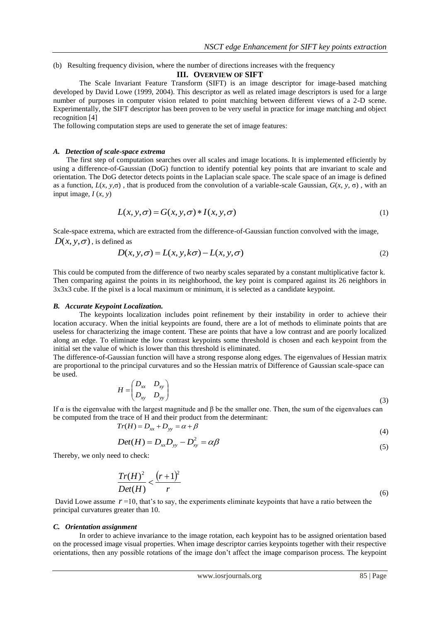(b) Resulting frequency division, where the number of directions increases with the frequency

# **III. OVERVIEW OF SIFT**

The Scale Invariant Feature Transform (SIFT) is an image descriptor for image-based matching developed by David Lowe (1999, 2004). This descriptor as well as related image descriptors is used for a large number of purposes in computer vision related to point matching between different views of a 2-D scene. Experimentally, the SIFT descriptor has been proven to be very useful in practice for image matching and object recognition [4]

The following computation steps are used to generate the set of image features:

## *A. Detection of scale-space extrema*

The first step of computation searches over all scales and image locations. It is implemented efficiently by using a difference-of-Gaussian (DoG) function to identify potential key points that are invariant to scale and orientation. The DoG detector detects points in the Laplacian scale space. The scale space of an image is defined as a function,  $L(x, y, \sigma)$ , that is produced from the convolution of a variable-scale Gaussian,  $G(x, y, \sigma)$ , with an input image,  $I(x, y)$ 

$$
L(x, y, \sigma) = G(x, y, \sigma) * I(x, y, \sigma)
$$
\n(1)

Scale-space extrema, which are extracted from the difference-of-Gaussian function convolved with the image,  $D(x, y, \sigma)$ , is defined as

$$
D(x, y, \sigma) = L(x, y, k\sigma) - L(x, y, \sigma)
$$
\n<sup>(2)</sup>

This could be computed from the difference of two nearby scales separated by a constant multiplicative factor k. Then comparing against the points in its neighborhood, the key point is compared against its 26 neighbors in 3x3x3 cube. If the pixel is a local maximum or minimum, it is selected as a candidate keypoint.

### *B. Accurate Keypoint Localization.*

The keypoints localization includes point refinement by their instability in order to achieve their location accuracy. When the initial keypoints are found, there are a lot of methods to eliminate points that are useless for characterizing the image content. These are points that have a low contrast and are poorly localized along an edge. To eliminate the low contrast keypoints some threshold is chosen and each keypoint from the initial set the value of which is lower than this threshold is eliminated.

The difference-of-Gaussian function will have a strong response along edges. The eigenvalues of Hessian matrix are proportional to the principal curvatures and so the Hessian matrix of Difference of Gaussian scale-space can be used.

$$
H = \begin{pmatrix} D_{xx} & D_{xy} \\ D_{xy} & D_{yy} \end{pmatrix}
$$
 (3)

If  $\alpha$  is the eigenvalue with the largest magnitude and β be the smaller one. Then, the sum of the eigenvalues can be computed from the trace of H and their product from the determinant:

$$
Tr(H) = D_{xx} + D_{yy} = \alpha + \beta \tag{4}
$$

$$
Det(H) = D_{xx}D_{yy} - D_{xy}^2 = \alpha\beta
$$
\n<sup>(5)</sup>

Thereby, we only need to check:

$$
\frac{Tr(H)^2}{Det(H)} < \frac{\left(r+1\right)^2}{r} \tag{6}
$$

David Lowe assume  $r = 10$ , that's to say, the experiments eliminate keypoints that have a ratio between the principal curvatures greater than 10.

### *C. Orientation assignment*

In order to achieve invariance to the image rotation, each keypoint has to be assigned orientation based on the processed image visual properties. When image descriptor carries keypoints together with their respective orientations, then any possible rotations of the image don't affect the image comparison process. The keypoint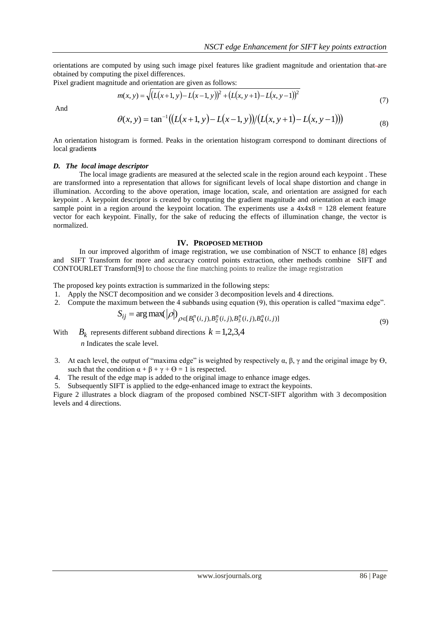orientations are computed by using such image pixel features like gradient magnitude and orientation that are obtained by computing the pixel differences.

Pixel gradient magnitude and orientation are given as follows:

$$
m(x, y) = \sqrt{\left(L(x+1, y) - L(x-1, y)\right)^2 + \left(L(x, y+1) - L(x, y-1)\right)^2}
$$
\n(7)

And

$$
\theta(x, y) = \tan^{-1} \big( \big( L(x+1, y) - L(x-1, y) \big) / \big( L(x, y+1) - L(x, y-1) \big) \big) \tag{8}
$$

An orientation histogram is formed. Peaks in the orientation histogram correspond to dominant directions of local gradient**s**

# *D. The local image descriptor*

The local image gradients are measured at the selected scale in the region around each keypoint . These are transformed into a representation that allows for significant levels of local shape distortion and change in illumination. According to the above operation, image location, scale, and orientation are assigned for each keypoint . A keypoint descriptor is created by computing the gradient magnitude and orientation at each image sample point in a region around the keypoint location. The experiments use a  $4x4x8 = 128$  element feature vector for each keypoint. Finally, for the sake of reducing the effects of illumination change, the vector is normalized.

### **IV. PROPOSED METHOD**

In our improved algorithm of image registration, we use combination of NSCT to enhance [8] edges and SIFT Transform for more and accuracy control points extraction, other methods combine SIFT and CONTOURLET Transform[9] to choose the fine matching points to realize the image registration

The proposed key points extraction is summarized in the following steps:

- 1. Apply the NSCT decomposition and we consider 3 decomposition levels and 4 directions.
- $\lambda$ r $\lambda$

2. Compute the maximum between the 4 subbands using equation (9), this operation is called "maxima edge".  
\n
$$
S_{ij} = \arg \max(|\rho|)_{\rho \in [B_1^n(i,j), B_2^n(i,j), B_3^n(i,j), B_4^n(i,j)]}
$$
\n(9)

With  $B_k$  represents different subband directions  $k = 1,2,3,4$ 

*n* Indicates the scale level.

- 3. At each level, the output of "maxima edge" is weighted by respectively  $\alpha$ ,  $\beta$ ,  $\gamma$  and the original image by  $\Theta$ , such that the condition  $\alpha + \beta + \gamma + \Theta = 1$  is respected.
- 4. The result of the edge map is added to the original image to enhance image edges.

5. Subsequently SIFT is applied to the edge-enhanced image to extract the keypoints.

Figure 2 illustrates a block diagram of the proposed combined NSCT-SIFT algorithm with 3 decomposition levels and 4 directions.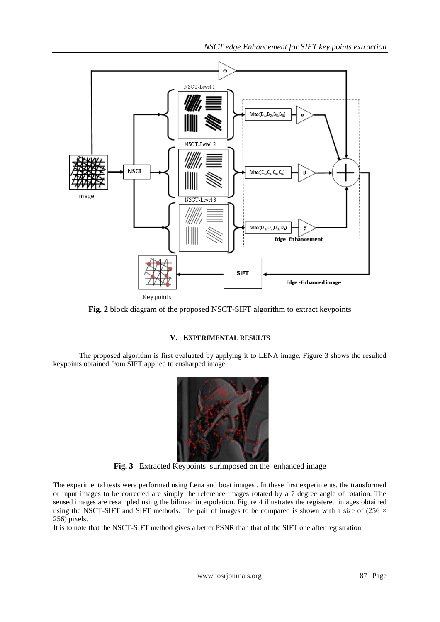*NSCT edge Enhancement for SIFT key points extraction*



**Fig. 2** block diagram of the proposed NSCT-SIFT algorithm to extract keypoints

# **V. EXPERIMENTAL RESULTS**

The proposed algorithm is first evaluated by applying it to LENA image. Figure 3 shows the resulted keypoints obtained from SIFT applied to ensharped image.



**Fig. 3** Extracted Keypoints surimposed on the enhanced image

The experimental tests were performed using Lena and boat images . In these first experiments, the transformed or input images to be corrected are simply the reference images rotated by a 7 degree angle of rotation. The sensed images are resampled using the bilinear interpolation. Figure 4 illustrates the registered images obtained using the NSCT-SIFT and SIFT methods. The pair of images to be compared is shown with a size of (256  $\times$ 256) pixels.

It is to note that the NSCT-SIFT method gives a better PSNR than that of the SIFT one after registration.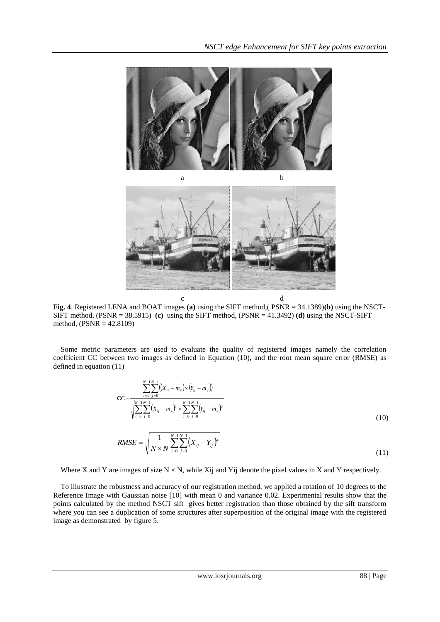



**Fig. 4**. Registered LENA and BOAT images **(a)** using the SIFT method,( PSNR = 34.1389)**(b)** using the NSCT-SIFT method, (PSNR = 38.5915) **(c)** using the SIFT method, (PSNR = 41.3492) **(d)** using the NSCT-SIFT method, (PSNR = 42.8109)

Some metric parameters are used to evaluate the quality of registered images namely the correlation coefficient CC between two images as defined in Equation (10), and the root mean square error (RMSE) as defined in equation (11)

$$
CC = \frac{\sum_{i=0}^{N-1} \sum_{j=0}^{N-1} ((x_{ij} - m_x) \times (Y_{ij} - m_y))}{\sqrt{\sum_{i=0}^{N-1} \sum_{j=0}^{N-1} (x_{ij} - m_x)^2 \times \sum_{i=0}^{N-1} \sum_{j=0}^{N-1} (Y_{ij} - m_y)^2}}
$$
\n
$$
RMSE = \sqrt{\frac{1}{N \times N} \sum_{i=0}^{N-1} \sum_{j=0}^{N-1} (X_{ij} - Y_{ij})^2}
$$
\n(11)

Where X and Y are images of size  $N \times N$ , while Xij and Yij denote the pixel values in X and Y respectively.

To illustrate the robustness and accuracy of our registration method, we applied a rotation of 10 degrees to the Reference Image with Gaussian noise [10] with mean 0 and variance 0.02. Experimental results show that the points calculated by the method NSCT sift gives better registration than those obtained by the sift transform where you can see a duplication of some structures after superposition of the original image with the registered image as demonstrated by figure 5.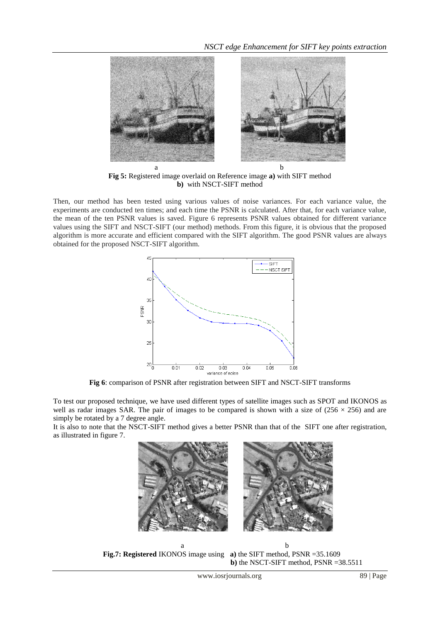

**Fig 5:** Registered image overlaid on Reference image **a)** with SIFT method **b)** with NSCT-SIFT method

Then, our method has been tested using various values of noise variances. For each variance value, the experiments are conducted ten times; and each time the PSNR is calculated. After that, for each variance value, the mean of the ten PSNR values is saved. Figure 6 represents PSNR values obtained for different variance values using the SIFT and NSCT-SIFT (our method) methods. From this figure, it is obvious that the proposed algorithm is more accurate and efficient compared with the SIFT algorithm. The good PSNR values are always obtained for the proposed NSCT-SIFT algorithm.



**Fig 6**: comparison of PSNR after registration between SIFT and NSCT-SIFT transforms

To test our proposed technique, we have used different types of satellite images such as SPOT and IKONOS as well as radar images SAR. The pair of images to be compared is shown with a size of  $(256 \times 256)$  and are simply be rotated by a 7 degree angle.

It is also to note that the NSCT-SIFT method gives a better PSNR than that of the SIFT one after registration, as illustrated in figure 7.



a b **Fig.7: Registered** IKONOS image using **a)** the SIFT method, PSNR =35.1609  **b)** the NSCT-SIFT method, PSNR =38.5511